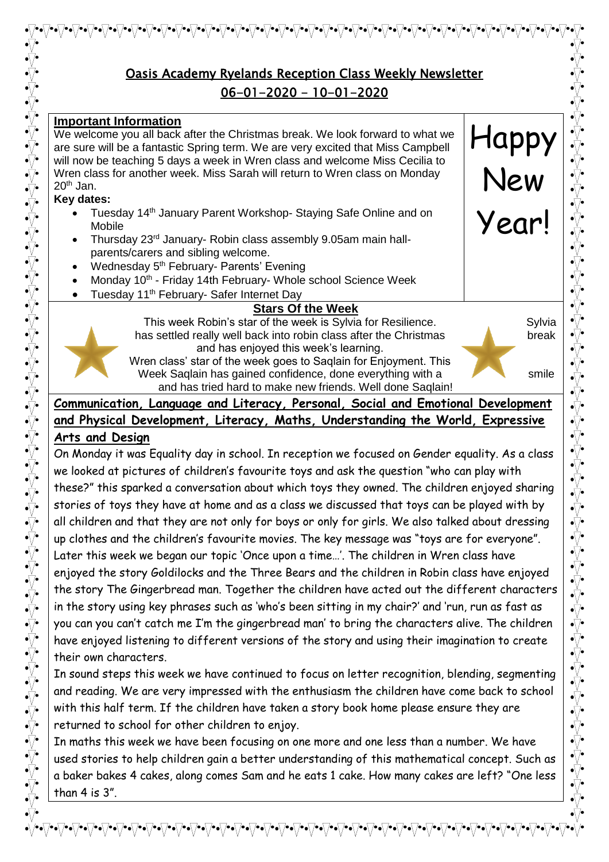# Oasis Academy Ryelands Reception Class Weekly Newsletter 06-01-2020 - 10-01-2020

#### **Important Information**

We welcome you all back after the Christmas break. We look forward to what we are sure will be a fantastic Spring term. We are very excited that Miss Campbell will now be teaching 5 days a week in Wren class and welcome Miss Cecilia to Wren class for another week. Miss Sarah will return to Wren class on Monday  $20<sup>th</sup>$  Jan.

#### **Key dates:**

- Tuesday 14<sup>th</sup> January Parent Workshop- Staying Safe Online and on Mobile
- Thursday 23rd January- Robin class assembly 9.05am main hallparents/carers and sibling welcome.
- Wednesday 5<sup>th</sup> February- Parents' Evening
- Monday 10<sup>th</sup> Friday 14th February- Whole school Science Week
- Tuesday 11<sup>th</sup> February- Safer Internet Day

### **Stars Of the Week**

This week Robin's star of the week is Sylvia for Resilience. Sylvia has settled really well back into robin class after the Christmas break and has enjoyed this week's learning. Wren class' star of the week goes to Saqlain for Enjoyment. This

Week Saqlain has gained confidence, done everything with a smile and has tried hard to make new friends. Well done Saqlain!

Happy

New

Year!



**Communication, Language and Literacy, Personal, Social and Emotional Development and Physical Development, Literacy, Maths, Understanding the World, Expressive** 

## **Arts and Design**

On Monday it was Equality day in school. In reception we focused on Gender equality. As a class we looked at pictures of children's favourite toys and ask the question "who can play with these?" this sparked a conversation about which toys they owned. The children enjoyed sharing stories of toys they have at home and as a class we discussed that toys can be played with by all children and that they are not only for boys or only for girls. We also talked about dressing up clothes and the children's favourite movies. The key message was "toys are for everyone". Later this week we began our topic 'Once upon a time…'. The children in Wren class have enjoyed the story Goldilocks and the Three Bears and the children in Robin class have enjoyed the story The Gingerbread man. Together the children have acted out the different characters in the story using key phrases such as 'who's been sitting in my chair?' and 'run, run as fast as you can you can't catch me I'm the gingerbread man' to bring the characters alive. The children have enjoyed listening to different versions of the story and using their imagination to create their own characters.

In sound steps this week we have continued to focus on letter recognition, blending, segmenting and reading. We are very impressed with the enthusiasm the children have come back to school with this half term. If the children have taken a story book home please ensure they are returned to school for other children to enjoy.

In maths this week we have been focusing on one more and one less than a number. We have used stories to help children gain a better understanding of this mathematical concept. Such as a baker bakes 4 cakes, along comes Sam and he eats 1 cake. How many cakes are left? "One less than 4 is 3".